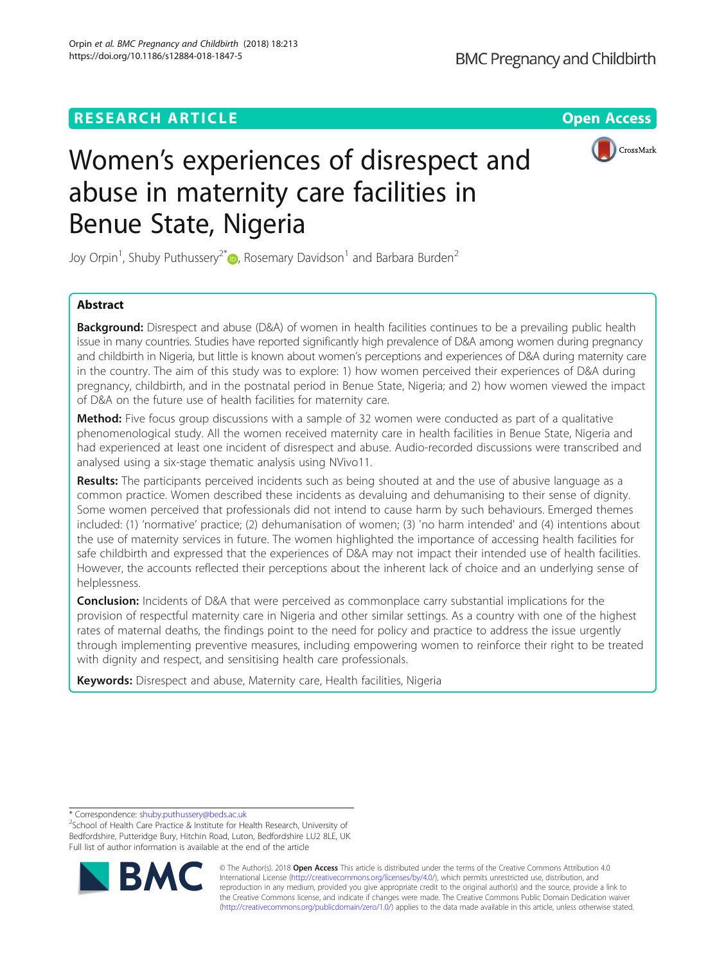# **RESEARCH ARTICLE Example 2014 CONSUMING A RESEARCH ARTICLE**



# Women's experiences of disrespect and abuse in maternity care facilities in Benue State, Nigeria

Joy Orpin<sup>1</sup>, Shuby Puthussery<sup>2\*</sup> $\bm{\mathbb{\Theta}}$ , Rosemary Davidson<sup>1</sup> and Barbara Burden<sup>2</sup>

# Abstract

**Background:** Disrespect and abuse (D&A) of women in health facilities continues to be a prevailing public health issue in many countries. Studies have reported significantly high prevalence of D&A among women during pregnancy and childbirth in Nigeria, but little is known about women's perceptions and experiences of D&A during maternity care in the country. The aim of this study was to explore: 1) how women perceived their experiences of D&A during pregnancy, childbirth, and in the postnatal period in Benue State, Nigeria; and 2) how women viewed the impact of D&A on the future use of health facilities for maternity care.

Method: Five focus group discussions with a sample of 32 women were conducted as part of a qualitative phenomenological study. All the women received maternity care in health facilities in Benue State, Nigeria and had experienced at least one incident of disrespect and abuse. Audio-recorded discussions were transcribed and analysed using a six-stage thematic analysis using NVivo11.

Results: The participants perceived incidents such as being shouted at and the use of abusive language as a common practice. Women described these incidents as devaluing and dehumanising to their sense of dignity. Some women perceived that professionals did not intend to cause harm by such behaviours. Emerged themes included: (1) 'normative' practice; (2) dehumanisation of women; (3) 'no harm intended' and (4) intentions about the use of maternity services in future. The women highlighted the importance of accessing health facilities for safe childbirth and expressed that the experiences of D&A may not impact their intended use of health facilities. However, the accounts reflected their perceptions about the inherent lack of choice and an underlying sense of helplessness.

**Conclusion:** Incidents of D&A that were perceived as commonplace carry substantial implications for the provision of respectful maternity care in Nigeria and other similar settings. As a country with one of the highest rates of maternal deaths, the findings point to the need for policy and practice to address the issue urgently through implementing preventive measures, including empowering women to reinforce their right to be treated with dignity and respect, and sensitising health care professionals.

Keywords: Disrespect and abuse, Maternity care, Health facilities, Nigeria

\* Correspondence: [shuby.puthussery@beds.ac.uk](mailto:shuby.puthussery@beds.ac.uk) <sup>2</sup>

<sup>2</sup>School of Health Care Practice & Institute for Health Research, University of Bedfordshire, Putteridge Bury, Hitchin Road, Luton, Bedfordshire LU2 8LE, UK Full list of author information is available at the end of the article



© The Author(s). 2018 Open Access This article is distributed under the terms of the Creative Commons Attribution 4.0 International License [\(http://creativecommons.org/licenses/by/4.0/](http://creativecommons.org/licenses/by/4.0/)), which permits unrestricted use, distribution, and reproduction in any medium, provided you give appropriate credit to the original author(s) and the source, provide a link to the Creative Commons license, and indicate if changes were made. The Creative Commons Public Domain Dedication waiver [\(http://creativecommons.org/publicdomain/zero/1.0/](http://creativecommons.org/publicdomain/zero/1.0/)) applies to the data made available in this article, unless otherwise stated.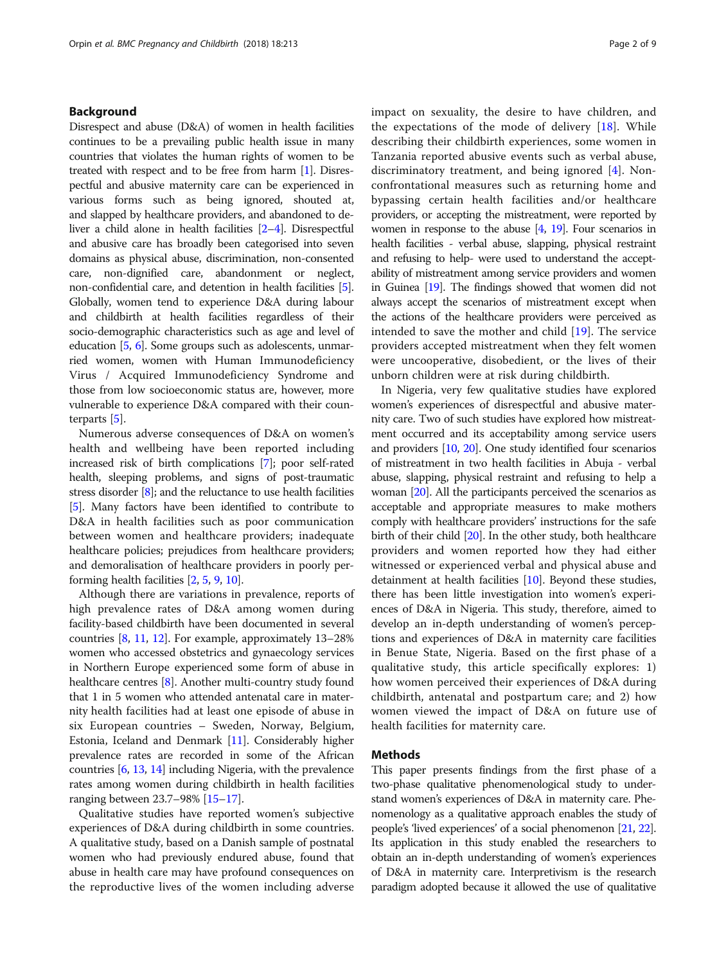# Background

Disrespect and abuse (D&A) of women in health facilities continues to be a prevailing public health issue in many countries that violates the human rights of women to be treated with respect and to be free from harm [\[1](#page-8-0)]. Disrespectful and abusive maternity care can be experienced in various forms such as being ignored, shouted at, and slapped by healthcare providers, and abandoned to deliver a child alone in health facilities [[2](#page-8-0)–[4\]](#page-8-0). Disrespectful and abusive care has broadly been categorised into seven domains as physical abuse, discrimination, non-consented care, non-dignified care, abandonment or neglect, non-confidential care, and detention in health facilities [[5](#page-8-0)]. Globally, women tend to experience D&A during labour and childbirth at health facilities regardless of their socio-demographic characteristics such as age and level of education [\[5,](#page-8-0) [6\]](#page-8-0). Some groups such as adolescents, unmarried women, women with Human Immunodeficiency Virus / Acquired Immunodeficiency Syndrome and those from low socioeconomic status are, however, more vulnerable to experience D&A compared with their counterparts [\[5](#page-8-0)].

Numerous adverse consequences of D&A on women's health and wellbeing have been reported including increased risk of birth complications [\[7](#page-8-0)]; poor self-rated health, sleeping problems, and signs of post-traumatic stress disorder [[8](#page-8-0)]; and the reluctance to use health facilities [[5](#page-8-0)]. Many factors have been identified to contribute to D&A in health facilities such as poor communication between women and healthcare providers; inadequate healthcare policies; prejudices from healthcare providers; and demoralisation of healthcare providers in poorly performing health facilities [[2](#page-8-0), [5,](#page-8-0) [9](#page-8-0), [10\]](#page-8-0).

Although there are variations in prevalence, reports of high prevalence rates of D&A among women during facility-based childbirth have been documented in several countries [\[8,](#page-8-0) [11,](#page-8-0) [12\]](#page-8-0). For example, approximately 13–28% women who accessed obstetrics and gynaecology services in Northern Europe experienced some form of abuse in healthcare centres [\[8](#page-8-0)]. Another multi-country study found that 1 in 5 women who attended antenatal care in maternity health facilities had at least one episode of abuse in six European countries – Sweden, Norway, Belgium, Estonia, Iceland and Denmark [[11](#page-8-0)]. Considerably higher prevalence rates are recorded in some of the African countries [\[6](#page-8-0), [13,](#page-8-0) [14\]](#page-8-0) including Nigeria, with the prevalence rates among women during childbirth in health facilities ranging between 23.7–98% [[15](#page-8-0)–[17\]](#page-8-0).

Qualitative studies have reported women's subjective experiences of D&A during childbirth in some countries. A qualitative study, based on a Danish sample of postnatal women who had previously endured abuse, found that abuse in health care may have profound consequences on the reproductive lives of the women including adverse impact on sexuality, the desire to have children, and the expectations of the mode of delivery [[18\]](#page-8-0). While describing their childbirth experiences, some women in Tanzania reported abusive events such as verbal abuse, discriminatory treatment, and being ignored [[4](#page-8-0)]. Nonconfrontational measures such as returning home and bypassing certain health facilities and/or healthcare providers, or accepting the mistreatment, were reported by women in response to the abuse  $[4, 19]$  $[4, 19]$  $[4, 19]$  $[4, 19]$  $[4, 19]$ . Four scenarios in health facilities - verbal abuse, slapping, physical restraint and refusing to help- were used to understand the acceptability of mistreatment among service providers and women in Guinea [\[19\]](#page-8-0). The findings showed that women did not always accept the scenarios of mistreatment except when the actions of the healthcare providers were perceived as intended to save the mother and child [[19\]](#page-8-0). The service providers accepted mistreatment when they felt women were uncooperative, disobedient, or the lives of their unborn children were at risk during childbirth.

In Nigeria, very few qualitative studies have explored women's experiences of disrespectful and abusive maternity care. Two of such studies have explored how mistreatment occurred and its acceptability among service users and providers [[10](#page-8-0), [20\]](#page-8-0). One study identified four scenarios of mistreatment in two health facilities in Abuja - verbal abuse, slapping, physical restraint and refusing to help a woman [[20](#page-8-0)]. All the participants perceived the scenarios as acceptable and appropriate measures to make mothers comply with healthcare providers' instructions for the safe birth of their child [\[20\]](#page-8-0). In the other study, both healthcare providers and women reported how they had either witnessed or experienced verbal and physical abuse and detainment at health facilities [\[10\]](#page-8-0). Beyond these studies, there has been little investigation into women's experiences of D&A in Nigeria. This study, therefore, aimed to develop an in-depth understanding of women's perceptions and experiences of D&A in maternity care facilities in Benue State, Nigeria. Based on the first phase of a qualitative study, this article specifically explores: 1) how women perceived their experiences of D&A during childbirth, antenatal and postpartum care; and 2) how women viewed the impact of D&A on future use of health facilities for maternity care.

# Methods

This paper presents findings from the first phase of a two-phase qualitative phenomenological study to understand women's experiences of D&A in maternity care. Phenomenology as a qualitative approach enables the study of people's 'lived experiences' of a social phenomenon [\[21](#page-8-0), [22](#page-8-0)]. Its application in this study enabled the researchers to obtain an in-depth understanding of women's experiences of D&A in maternity care. Interpretivism is the research paradigm adopted because it allowed the use of qualitative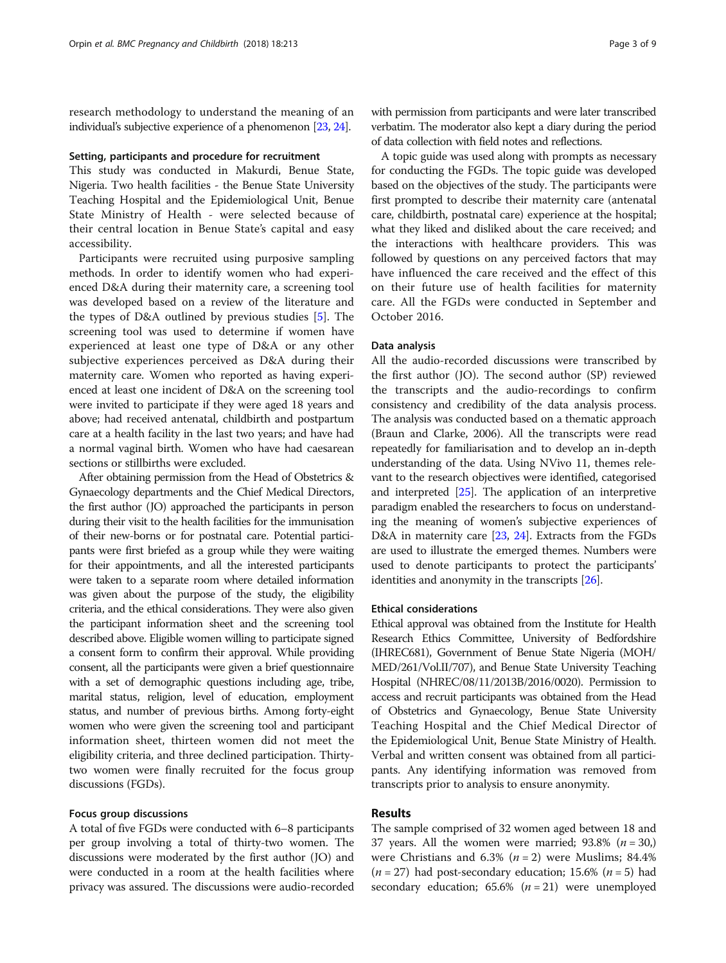research methodology to understand the meaning of an individual's subjective experience of a phenomenon [\[23](#page-8-0), [24](#page-8-0)].

#### Setting, participants and procedure for recruitment

This study was conducted in Makurdi, Benue State, Nigeria. Two health facilities - the Benue State University Teaching Hospital and the Epidemiological Unit, Benue State Ministry of Health - were selected because of their central location in Benue State's capital and easy accessibility.

Participants were recruited using purposive sampling methods. In order to identify women who had experienced D&A during their maternity care, a screening tool was developed based on a review of the literature and the types of D&A outlined by previous studies [\[5](#page-8-0)]. The screening tool was used to determine if women have experienced at least one type of D&A or any other subjective experiences perceived as D&A during their maternity care. Women who reported as having experienced at least one incident of D&A on the screening tool were invited to participate if they were aged 18 years and above; had received antenatal, childbirth and postpartum care at a health facility in the last two years; and have had a normal vaginal birth. Women who have had caesarean sections or stillbirths were excluded.

After obtaining permission from the Head of Obstetrics & Gynaecology departments and the Chief Medical Directors, the first author (JO) approached the participants in person during their visit to the health facilities for the immunisation of their new-borns or for postnatal care. Potential participants were first briefed as a group while they were waiting for their appointments, and all the interested participants were taken to a separate room where detailed information was given about the purpose of the study, the eligibility criteria, and the ethical considerations. They were also given the participant information sheet and the screening tool described above. Eligible women willing to participate signed a consent form to confirm their approval. While providing consent, all the participants were given a brief questionnaire with a set of demographic questions including age, tribe, marital status, religion, level of education, employment status, and number of previous births. Among forty-eight women who were given the screening tool and participant information sheet, thirteen women did not meet the eligibility criteria, and three declined participation. Thirtytwo women were finally recruited for the focus group discussions (FGDs).

# Focus group discussions

A total of five FGDs were conducted with 6–8 participants per group involving a total of thirty-two women. The discussions were moderated by the first author (JO) and were conducted in a room at the health facilities where privacy was assured. The discussions were audio-recorded

with permission from participants and were later transcribed verbatim. The moderator also kept a diary during the period of data collection with field notes and reflections.

A topic guide was used along with prompts as necessary for conducting the FGDs. The topic guide was developed based on the objectives of the study. The participants were first prompted to describe their maternity care (antenatal care, childbirth, postnatal care) experience at the hospital; what they liked and disliked about the care received; and the interactions with healthcare providers. This was followed by questions on any perceived factors that may have influenced the care received and the effect of this on their future use of health facilities for maternity care. All the FGDs were conducted in September and October 2016.

# Data analysis

All the audio-recorded discussions were transcribed by the first author (JO). The second author (SP) reviewed the transcripts and the audio-recordings to confirm consistency and credibility of the data analysis process. The analysis was conducted based on a thematic approach (Braun and Clarke, 2006). All the transcripts were read repeatedly for familiarisation and to develop an in-depth understanding of the data. Using NVivo 11, themes relevant to the research objectives were identified, categorised and interpreted [\[25](#page-8-0)]. The application of an interpretive paradigm enabled the researchers to focus on understanding the meaning of women's subjective experiences of D&A in maternity care [\[23,](#page-8-0) [24](#page-8-0)]. Extracts from the FGDs are used to illustrate the emerged themes. Numbers were used to denote participants to protect the participants' identities and anonymity in the transcripts [[26](#page-8-0)].

#### Ethical considerations

Ethical approval was obtained from the Institute for Health Research Ethics Committee, University of Bedfordshire (IHREC681), Government of Benue State Nigeria (MOH/ MED/261/Vol.II/707), and Benue State University Teaching Hospital (NHREC/08/11/2013B/2016/0020). Permission to access and recruit participants was obtained from the Head of Obstetrics and Gynaecology, Benue State University Teaching Hospital and the Chief Medical Director of the Epidemiological Unit, Benue State Ministry of Health. Verbal and written consent was obtained from all participants. Any identifying information was removed from transcripts prior to analysis to ensure anonymity.

# Results

The sample comprised of 32 women aged between 18 and 37 years. All the women were married;  $93.8\%$  ( $n = 30$ .) were Christians and 6.3% ( $n = 2$ ) were Muslims; 84.4%  $(n = 27)$  had post-secondary education; 15.6%  $(n = 5)$  had secondary education;  $65.6\%$   $(n = 21)$  were unemployed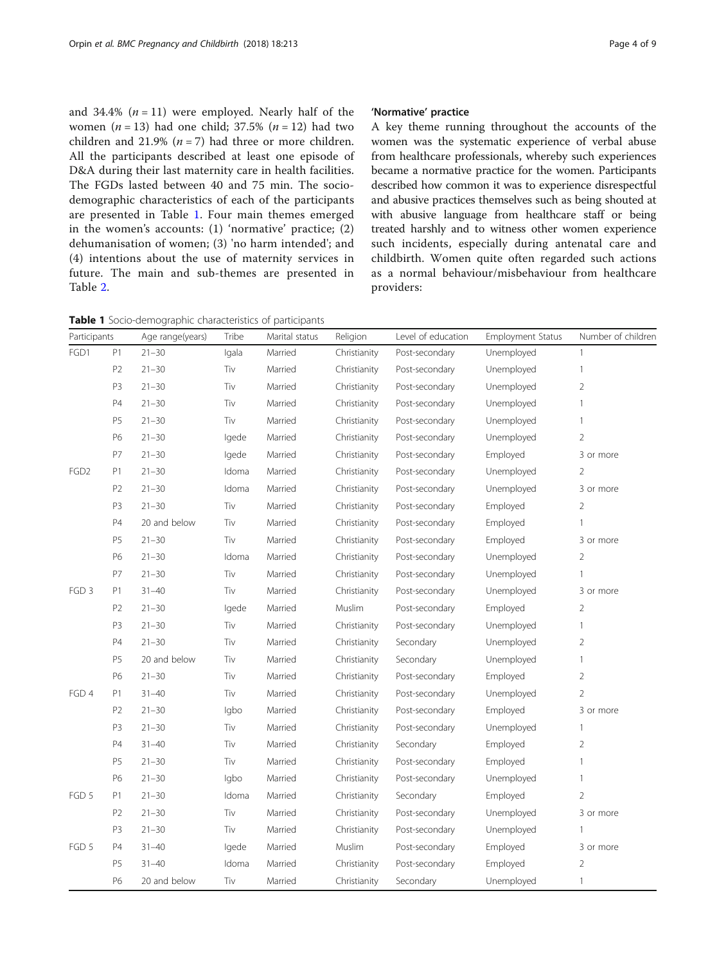and 34.4%  $(n = 11)$  were employed. Nearly half of the women ( $n = 13$ ) had one child; 37.5% ( $n = 12$ ) had two children and 21.9% ( $n = 7$ ) had three or more children. All the participants described at least one episode of D&A during their last maternity care in health facilities. The FGDs lasted between 40 and 75 min. The sociodemographic characteristics of each of the participants are presented in Table 1. Four main themes emerged in the women's accounts: (1) 'normative' practice; (2) dehumanisation of women; (3) 'no harm intended'; and (4) intentions about the use of maternity services in future. The main and sub-themes are presented in Table [2.](#page-4-0)

Table 1 Socio-demographic characteristics of participants

# 'Normative' practice

A key theme running throughout the accounts of the women was the systematic experience of verbal abuse from healthcare professionals, whereby such experiences became a normative practice for the women. Participants described how common it was to experience disrespectful and abusive practices themselves such as being shouted at with abusive language from healthcare staff or being treated harshly and to witness other women experience such incidents, especially during antenatal care and childbirth. Women quite often regarded such actions as a normal behaviour/misbehaviour from healthcare providers:

| Participants     |                | Age range(years) | Tribe | Marital status | Religion     | Level of education | <b>Employment Status</b> | Number of children |
|------------------|----------------|------------------|-------|----------------|--------------|--------------------|--------------------------|--------------------|
| FGD1             | P1             | $21 - 30$        | Igala | Married        | Christianity | Post-secondary     | Unemployed               | $\mathbf{1}$       |
|                  | P <sub>2</sub> | $21 - 30$        | Tiv   | Married        | Christianity | Post-secondary     | Unemployed               | $\mathbf{1}$       |
|                  | P3             | $21 - 30$        | Tiv   | Married        | Christianity | Post-secondary     | Unemployed               | $\overline{2}$     |
|                  | P4             | $21 - 30$        | Tiv   | Married        | Christianity | Post-secondary     | Unemployed               | $\mathbf{1}$       |
|                  | P <sub>5</sub> | $21 - 30$        | Tiv   | Married        | Christianity | Post-secondary     | Unemployed               | 1                  |
|                  | P6             | $21 - 30$        | lgede | Married        | Christianity | Post-secondary     | Unemployed               | $\overline{2}$     |
|                  | P7             | $21 - 30$        | lgede | Married        | Christianity | Post-secondary     | Employed                 | 3 or more          |
| FGD <sub>2</sub> | P1             | $21 - 30$        | Idoma | Married        | Christianity | Post-secondary     | Unemployed               | 2                  |
|                  | P <sub>2</sub> | $21 - 30$        | Idoma | Married        | Christianity | Post-secondary     | Unemployed               | 3 or more          |
|                  | P3             | $21 - 30$        | Tiv   | Married        | Christianity | Post-secondary     | Employed                 | $\overline{2}$     |
|                  | P4             | 20 and below     | Tiv   | Married        | Christianity | Post-secondary     | Employed                 | 1                  |
|                  | P5             | $21 - 30$        | Tiv   | Married        | Christianity | Post-secondary     | Employed                 | 3 or more          |
|                  | P6             | $21 - 30$        | Idoma | Married        | Christianity | Post-secondary     | Unemployed               | $\overline{2}$     |
|                  | P7             | $21 - 30$        | Tiv   | Married        | Christianity | Post-secondary     | Unemployed               | 1                  |
| FGD <sub>3</sub> | P1             | $31 - 40$        | Tiv   | Married        | Christianity | Post-secondary     | Unemployed               | 3 or more          |
|                  | P <sub>2</sub> | $21 - 30$        | Igede | Married        | Muslim       | Post-secondary     | Employed                 | 2                  |
|                  | P <sub>3</sub> | $21 - 30$        | Tiv   | Married        | Christianity | Post-secondary     | Unemployed               | $\mathbf{1}$       |
|                  | P4             | $21 - 30$        | Tiv   | Married        | Christianity | Secondary          | Unemployed               | $\overline{2}$     |
|                  | P5             | 20 and below     | Tiv   | Married        | Christianity | Secondary          | Unemployed               | $\mathbf{1}$       |
|                  | P6             | $21 - 30$        | Tiv   | Married        | Christianity | Post-secondary     | Employed                 | $\overline{2}$     |
| FGD 4            | P1             | $31 - 40$        | Tiv   | Married        | Christianity | Post-secondary     | Unemployed               | $\overline{2}$     |
|                  | P <sub>2</sub> | $21 - 30$        | Igbo  | Married        | Christianity | Post-secondary     | Employed                 | 3 or more          |
|                  | P3             | $21 - 30$        | Tiv   | Married        | Christianity | Post-secondary     | Unemployed               | 1                  |
|                  | <b>P4</b>      | $31 - 40$        | Tiv   | Married        | Christianity | Secondary          | Employed                 | 2                  |
|                  | <b>P5</b>      | $21 - 30$        | Tiv   | Married        | Christianity | Post-secondary     | Employed                 | $\mathbf{1}$       |
|                  | P6             | $21 - 30$        | Igbo  | Married        | Christianity | Post-secondary     | Unemployed               | 1                  |
| FGD 5            | P1             | $21 - 30$        | Idoma | Married        | Christianity | Secondary          | Employed                 | $\overline{2}$     |
|                  | P <sub>2</sub> | $21 - 30$        | Tiv   | Married        | Christianity | Post-secondary     | Unemployed               | 3 or more          |
|                  | P3             | $21 - 30$        | Tiv   | Married        | Christianity | Post-secondary     | Unemployed               | 1                  |
| FGD 5            | P4             | $31 - 40$        | lgede | Married        | Muslim       | Post-secondary     | Employed                 | 3 or more          |
|                  | P <sub>5</sub> | $31 - 40$        | Idoma | Married        | Christianity | Post-secondary     | Employed                 | $\overline{2}$     |
|                  | P6             | 20 and below     | Tiv   | Married        | Christianity | Secondary          | Unemployed               | 1                  |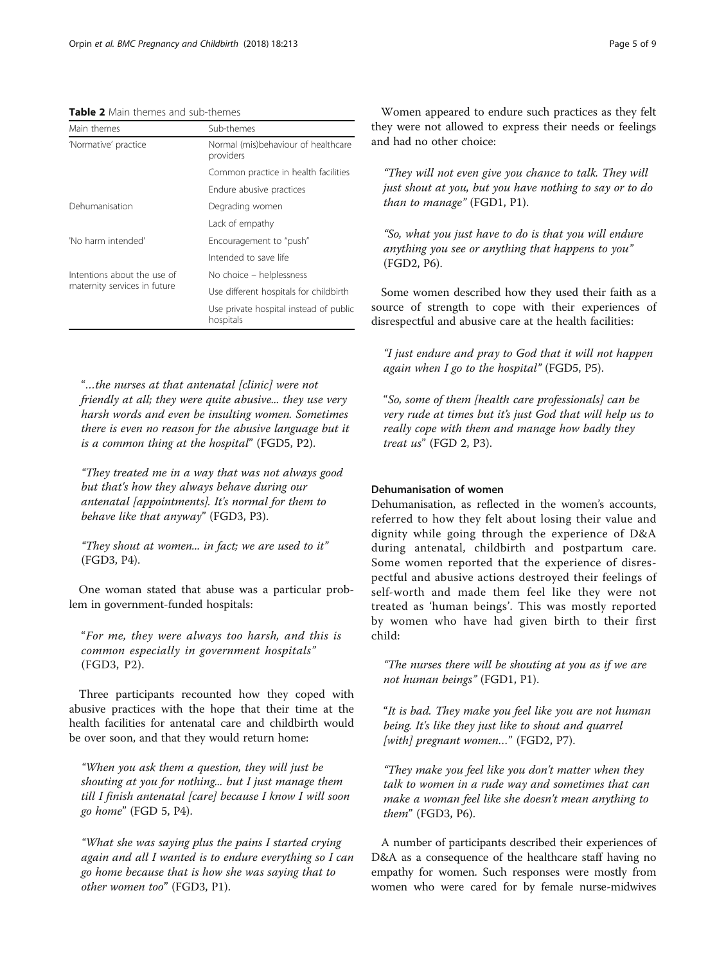## <span id="page-4-0"></span>Table 2 Main themes and sub-themes

| Main themes                  | Sub-themes                                          |  |  |  |
|------------------------------|-----------------------------------------------------|--|--|--|
| 'Normative' practice         | Normal (mis)behaviour of healthcare<br>providers    |  |  |  |
|                              | Common practice in health facilities                |  |  |  |
|                              | Endure abusive practices                            |  |  |  |
| Dehumanisation               | Degrading women                                     |  |  |  |
|                              | Lack of empathy                                     |  |  |  |
| 'No harm intended'           | Encouragement to "push"                             |  |  |  |
|                              | Intended to save life                               |  |  |  |
| Intentions about the use of  | No choice - helplessness                            |  |  |  |
| maternity services in future | Use different hospitals for childbirth              |  |  |  |
|                              | Use private hospital instead of public<br>hospitals |  |  |  |

"…the nurses at that antenatal [clinic] were not friendly at all; they were quite abusive... they use very harsh words and even be insulting women. Sometimes there is even no reason for the abusive language but it is a common thing at the hospital" (FGD5, P2).

"They treated me in a way that was not always good but that's how they always behave during our antenatal [appointments]. It's normal for them to behave like that anyway" (FGD3, P3).

"They shout at women... in fact; we are used to it" (FGD3, P4).

One woman stated that abuse was a particular problem in government-funded hospitals:

"For me, they were always too harsh, and this is common especially in government hospitals" (FGD3, P2).

Three participants recounted how they coped with abusive practices with the hope that their time at the health facilities for antenatal care and childbirth would be over soon, and that they would return home:

"When you ask them a question, they will just be shouting at you for nothing... but I just manage them till I finish antenatal [care] because I know I will soon go home" (FGD 5, P4).

"What she was saying plus the pains I started crying again and all I wanted is to endure everything so I can go home because that is how she was saying that to other women too" (FGD3, P1).

Women appeared to endure such practices as they felt they were not allowed to express their needs or feelings and had no other choice:

"They will not even give you chance to talk. They will just shout at you, but you have nothing to say or to do than to manage" (FGD1, P1).

"So, what you just have to do is that you will endure anything you see or anything that happens to you" (FGD2, P6).

Some women described how they used their faith as a source of strength to cope with their experiences of disrespectful and abusive care at the health facilities:

"I just endure and pray to God that it will not happen again when I go to the hospital" (FGD5, P5).

"So, some of them [health care professionals] can be very rude at times but it's just God that will help us to really cope with them and manage how badly they treat us" (FGD 2, P3).

# Dehumanisation of women

Dehumanisation, as reflected in the women's accounts, referred to how they felt about losing their value and dignity while going through the experience of D&A during antenatal, childbirth and postpartum care. Some women reported that the experience of disrespectful and abusive actions destroyed their feelings of self-worth and made them feel like they were not treated as 'human beings'. This was mostly reported by women who have had given birth to their first child:

"The nurses there will be shouting at you as if we are not human beings" (FGD1, P1).

"It is bad. They make you feel like you are not human being. It's like they just like to shout and quarrel [with] pregnant women..." (FGD2, P7).

"They make you feel like you don't matter when they talk to women in a rude way and sometimes that can make a woman feel like she doesn't mean anything to them" (FGD3, P6).

A number of participants described their experiences of D&A as a consequence of the healthcare staff having no empathy for women. Such responses were mostly from women who were cared for by female nurse-midwives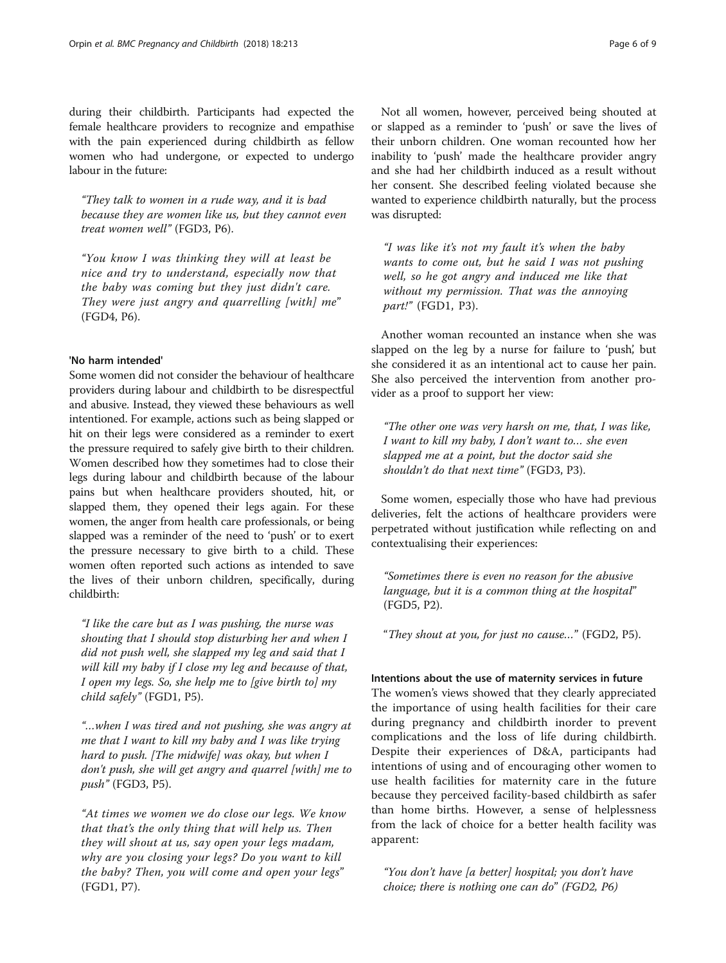during their childbirth. Participants had expected the female healthcare providers to recognize and empathise with the pain experienced during childbirth as fellow women who had undergone, or expected to undergo labour in the future:

"They talk to women in a rude way, and it is bad because they are women like us, but they cannot even treat women well" (FGD3, P6).

"You know I was thinking they will at least be nice and try to understand, especially now that the baby was coming but they just didn't care. They were just angry and quarrelling [with] me" (FGD4, P6).

# 'No harm intended'

Some women did not consider the behaviour of healthcare providers during labour and childbirth to be disrespectful and abusive. Instead, they viewed these behaviours as well intentioned. For example, actions such as being slapped or hit on their legs were considered as a reminder to exert the pressure required to safely give birth to their children. Women described how they sometimes had to close their legs during labour and childbirth because of the labour pains but when healthcare providers shouted, hit, or slapped them, they opened their legs again. For these women, the anger from health care professionals, or being slapped was a reminder of the need to 'push' or to exert the pressure necessary to give birth to a child. These women often reported such actions as intended to save the lives of their unborn children, specifically, during childbirth:

"I like the care but as I was pushing, the nurse was shouting that I should stop disturbing her and when I did not push well, she slapped my leg and said that I will kill my baby if I close my leg and because of that, I open my legs. So, she help me to [give birth to] my child safely" (FGD1, P5).

"…when I was tired and not pushing, she was angry at me that I want to kill my baby and I was like trying hard to push. [The midwife] was okay, but when I don't push, she will get angry and quarrel [with] me to push" (FGD3, P5).

"At times we women we do close our legs. We know that that's the only thing that will help us. Then they will shout at us, say open your legs madam, why are you closing your legs? Do you want to kill the baby? Then, you will come and open your legs" (FGD1, P7).

Not all women, however, perceived being shouted at or slapped as a reminder to 'push' or save the lives of their unborn children. One woman recounted how her inability to 'push' made the healthcare provider angry and she had her childbirth induced as a result without her consent. She described feeling violated because she wanted to experience childbirth naturally, but the process was disrupted:

"I was like it's not my fault it's when the baby wants to come out, but he said I was not pushing well, so he got angry and induced me like that without my permission. That was the annoying part!" (FGD1, P3).

Another woman recounted an instance when she was slapped on the leg by a nurse for failure to 'push', but she considered it as an intentional act to cause her pain. She also perceived the intervention from another provider as a proof to support her view:

"The other one was very harsh on me, that, I was like, I want to kill my baby, I don't want to… she even slapped me at a point, but the doctor said she shouldn't do that next time" (FGD3, P3).

Some women, especially those who have had previous deliveries, felt the actions of healthcare providers were perpetrated without justification while reflecting on and contextualising their experiences:

"Sometimes there is even no reason for the abusive language, but it is a common thing at the hospital" (FGD5, P2).

"They shout at you, for just no cause…" (FGD2, P5).

# Intentions about the use of maternity services in future

The women's views showed that they clearly appreciated the importance of using health facilities for their care during pregnancy and childbirth inorder to prevent complications and the loss of life during childbirth. Despite their experiences of D&A, participants had intentions of using and of encouraging other women to use health facilities for maternity care in the future because they perceived facility-based childbirth as safer than home births. However, a sense of helplessness from the lack of choice for a better health facility was apparent:

"You don't have [a better] hospital; you don't have choice; there is nothing one can do" (FGD2, P6)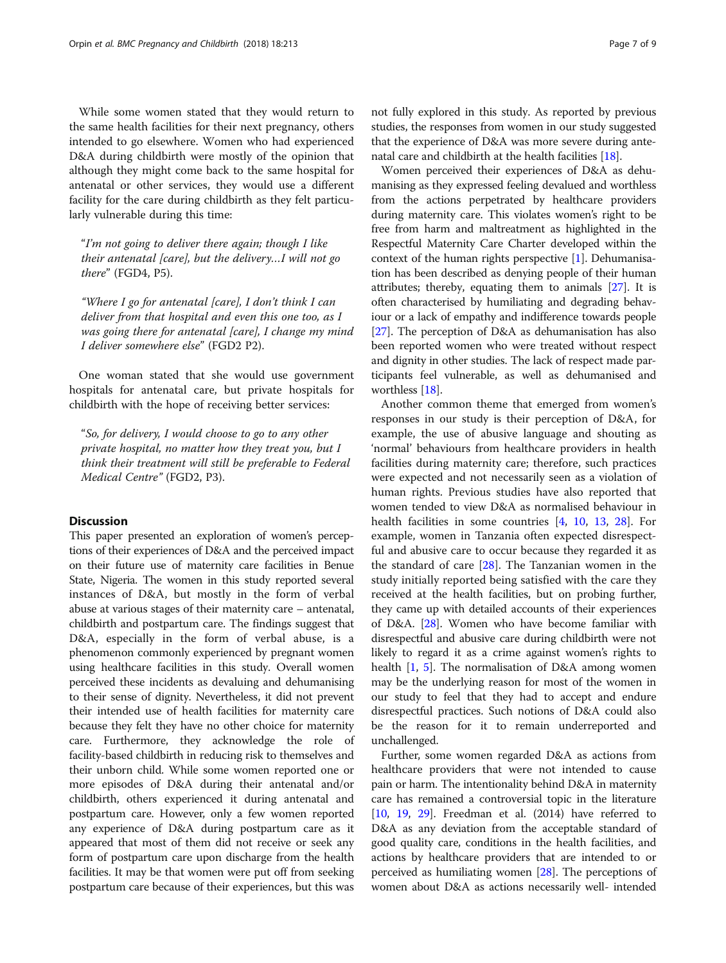While some women stated that they would return to the same health facilities for their next pregnancy, others intended to go elsewhere. Women who had experienced D&A during childbirth were mostly of the opinion that although they might come back to the same hospital for antenatal or other services, they would use a different facility for the care during childbirth as they felt particularly vulnerable during this time:

"I'm not going to deliver there again; though I like their antenatal [care], but the delivery…I will not go there" (FGD4, P5).

"Where I go for antenatal [care], I don't think I can deliver from that hospital and even this one too, as I was going there for antenatal [care], I change my mind I deliver somewhere else" (FGD2 P2).

One woman stated that she would use government hospitals for antenatal care, but private hospitals for childbirth with the hope of receiving better services:

"So, for delivery, I would choose to go to any other private hospital, no matter how they treat you, but I think their treatment will still be preferable to Federal Medical Centre" (FGD2, P3).

# Discussion

This paper presented an exploration of women's perceptions of their experiences of D&A and the perceived impact on their future use of maternity care facilities in Benue State, Nigeria. The women in this study reported several instances of D&A, but mostly in the form of verbal abuse at various stages of their maternity care – antenatal, childbirth and postpartum care. The findings suggest that D&A, especially in the form of verbal abuse, is a phenomenon commonly experienced by pregnant women using healthcare facilities in this study. Overall women perceived these incidents as devaluing and dehumanising to their sense of dignity. Nevertheless, it did not prevent their intended use of health facilities for maternity care because they felt they have no other choice for maternity care. Furthermore, they acknowledge the role of facility-based childbirth in reducing risk to themselves and their unborn child. While some women reported one or more episodes of D&A during their antenatal and/or childbirth, others experienced it during antenatal and postpartum care. However, only a few women reported any experience of D&A during postpartum care as it appeared that most of them did not receive or seek any form of postpartum care upon discharge from the health facilities. It may be that women were put off from seeking postpartum care because of their experiences, but this was

not fully explored in this study. As reported by previous studies, the responses from women in our study suggested that the experience of D&A was more severe during antenatal care and childbirth at the health facilities [[18](#page-8-0)].

Women perceived their experiences of D&A as dehumanising as they expressed feeling devalued and worthless from the actions perpetrated by healthcare providers during maternity care. This violates women's right to be free from harm and maltreatment as highlighted in the Respectful Maternity Care Charter developed within the context of the human rights perspective [\[1\]](#page-8-0). Dehumanisation has been described as denying people of their human attributes; thereby, equating them to animals [[27](#page-8-0)]. It is often characterised by humiliating and degrading behaviour or a lack of empathy and indifference towards people [[27](#page-8-0)]. The perception of D&A as dehumanisation has also been reported women who were treated without respect and dignity in other studies. The lack of respect made participants feel vulnerable, as well as dehumanised and worthless [\[18\]](#page-8-0).

Another common theme that emerged from women's responses in our study is their perception of D&A, for example, the use of abusive language and shouting as 'normal' behaviours from healthcare providers in health facilities during maternity care; therefore, such practices were expected and not necessarily seen as a violation of human rights. Previous studies have also reported that women tended to view D&A as normalised behaviour in health facilities in some countries [[4,](#page-8-0) [10](#page-8-0), [13](#page-8-0), [28](#page-8-0)]. For example, women in Tanzania often expected disrespectful and abusive care to occur because they regarded it as the standard of care [\[28\]](#page-8-0). The Tanzanian women in the study initially reported being satisfied with the care they received at the health facilities, but on probing further, they came up with detailed accounts of their experiences of D&A. [\[28\]](#page-8-0). Women who have become familiar with disrespectful and abusive care during childbirth were not likely to regard it as a crime against women's rights to health [\[1](#page-8-0), [5](#page-8-0)]. The normalisation of D&A among women may be the underlying reason for most of the women in our study to feel that they had to accept and endure disrespectful practices. Such notions of D&A could also be the reason for it to remain underreported and unchallenged.

Further, some women regarded D&A as actions from healthcare providers that were not intended to cause pain or harm. The intentionality behind D&A in maternity care has remained a controversial topic in the literature [[10](#page-8-0), [19,](#page-8-0) [29\]](#page-8-0). Freedman et al. (2014) have referred to D&A as any deviation from the acceptable standard of good quality care, conditions in the health facilities, and actions by healthcare providers that are intended to or perceived as humiliating women [\[28\]](#page-8-0). The perceptions of women about D&A as actions necessarily well- intended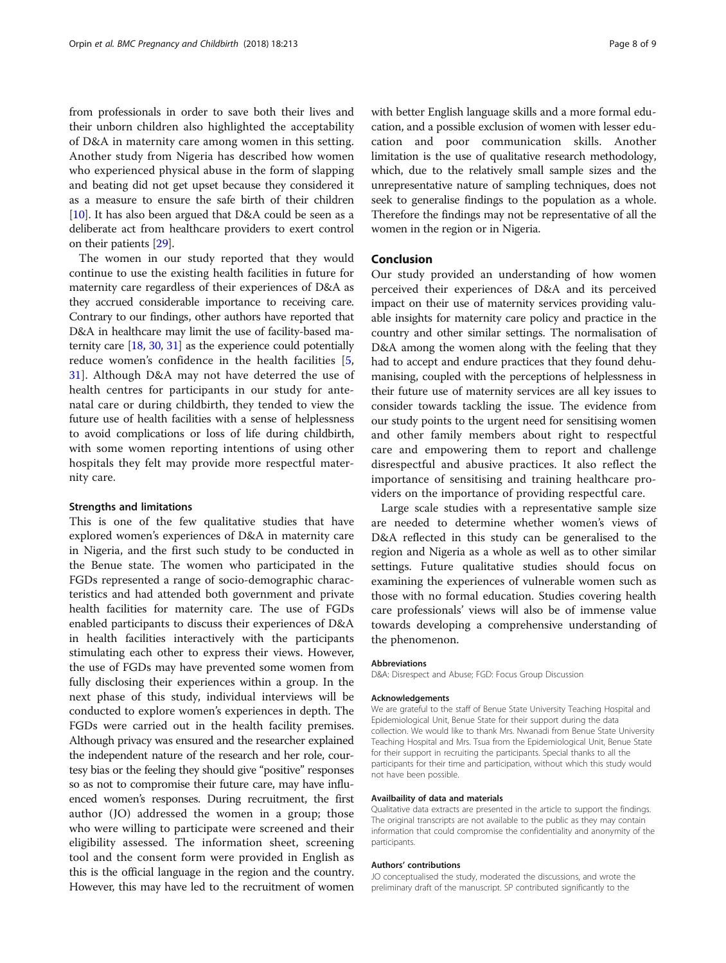from professionals in order to save both their lives and their unborn children also highlighted the acceptability of D&A in maternity care among women in this setting. Another study from Nigeria has described how women who experienced physical abuse in the form of slapping and beating did not get upset because they considered it as a measure to ensure the safe birth of their children [[10](#page-8-0)]. It has also been argued that  $D&A$  could be seen as a deliberate act from healthcare providers to exert control on their patients [\[29\]](#page-8-0).

The women in our study reported that they would continue to use the existing health facilities in future for maternity care regardless of their experiences of D&A as they accrued considerable importance to receiving care. Contrary to our findings, other authors have reported that D&A in healthcare may limit the use of facility-based maternity care [[18](#page-8-0), [30,](#page-8-0) [31](#page-8-0)] as the experience could potentially reduce women's confidence in the health facilities [\[5](#page-8-0), [31\]](#page-8-0). Although D&A may not have deterred the use of health centres for participants in our study for antenatal care or during childbirth, they tended to view the future use of health facilities with a sense of helplessness to avoid complications or loss of life during childbirth, with some women reporting intentions of using other hospitals they felt may provide more respectful maternity care.

#### Strengths and limitations

This is one of the few qualitative studies that have explored women's experiences of D&A in maternity care in Nigeria, and the first such study to be conducted in the Benue state. The women who participated in the FGDs represented a range of socio-demographic characteristics and had attended both government and private health facilities for maternity care. The use of FGDs enabled participants to discuss their experiences of D&A in health facilities interactively with the participants stimulating each other to express their views. However, the use of FGDs may have prevented some women from fully disclosing their experiences within a group. In the next phase of this study, individual interviews will be conducted to explore women's experiences in depth. The FGDs were carried out in the health facility premises. Although privacy was ensured and the researcher explained the independent nature of the research and her role, courtesy bias or the feeling they should give "positive" responses so as not to compromise their future care, may have influenced women's responses. During recruitment, the first author (JO) addressed the women in a group; those who were willing to participate were screened and their eligibility assessed. The information sheet, screening tool and the consent form were provided in English as this is the official language in the region and the country. However, this may have led to the recruitment of women with better English language skills and a more formal education, and a possible exclusion of women with lesser education and poor communication skills. Another limitation is the use of qualitative research methodology, which, due to the relatively small sample sizes and the unrepresentative nature of sampling techniques, does not seek to generalise findings to the population as a whole. Therefore the findings may not be representative of all the women in the region or in Nigeria.

# Conclusion

Our study provided an understanding of how women perceived their experiences of D&A and its perceived impact on their use of maternity services providing valuable insights for maternity care policy and practice in the country and other similar settings. The normalisation of D&A among the women along with the feeling that they had to accept and endure practices that they found dehumanising, coupled with the perceptions of helplessness in their future use of maternity services are all key issues to consider towards tackling the issue. The evidence from our study points to the urgent need for sensitising women and other family members about right to respectful care and empowering them to report and challenge disrespectful and abusive practices. It also reflect the importance of sensitising and training healthcare providers on the importance of providing respectful care.

Large scale studies with a representative sample size are needed to determine whether women's views of D&A reflected in this study can be generalised to the region and Nigeria as a whole as well as to other similar settings. Future qualitative studies should focus on examining the experiences of vulnerable women such as those with no formal education. Studies covering health care professionals' views will also be of immense value towards developing a comprehensive understanding of the phenomenon.

#### Abbreviations

D&A: Disrespect and Abuse; FGD: Focus Group Discussion

#### Acknowledgements

We are grateful to the staff of Benue State University Teaching Hospital and Epidemiological Unit, Benue State for their support during the data collection. We would like to thank Mrs. Nwanadi from Benue State University Teaching Hospital and Mrs. Tsua from the Epidemiological Unit, Benue State for their support in recruiting the participants. Special thanks to all the participants for their time and participation, without which this study would not have been possible.

#### Availbaility of data and materials

Qualitative data extracts are presented in the article to support the findings. The original transcripts are not available to the public as they may contain information that could compromise the confidentiality and anonymity of the participants.

#### Authors' contributions

JO conceptualised the study, moderated the discussions, and wrote the preliminary draft of the manuscript. SP contributed significantly to the